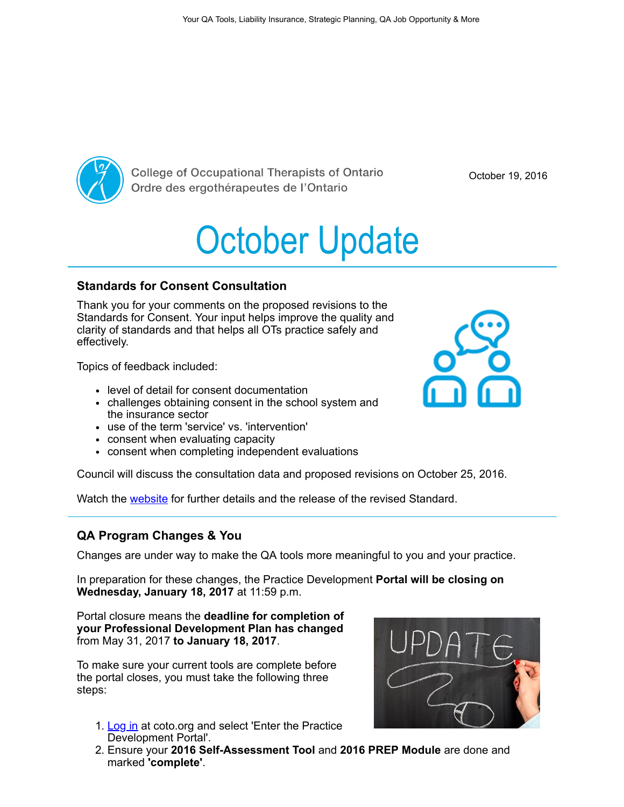

**College of Occupational Therapists of Ontario** Ordre des ergothérapeutes de l'Ontario

October 19, 2016

# October Update

## Standards for Consent Consultation

Thank you for your comments on the proposed revisions to the Standards for Consent. Your input helps improve the quality and clarity of standards and that helps all OTs practice safely and effectively.

Topics of feedback included:

- level of detail for consent documentation
- challenges obtaining consent in the school system and the insurance sector
- use of the term 'service' vs. 'intervention'
- consent when evaluating capacity
- consent when completing independent evaluations

Council will discuss the consultation data and proposed revisions on October 25, 2016.

Watch the [website](https://www.coto.org/) for further details and the release of the revised Standard.

## QA Program Changes & You

Changes are under way to make the QA tools more meaningful to you and your practice.

In preparation for these changes, the Practice Development **Portal will be closing on** Wednesday, January 18, 2017 at 11:59 p.m.

Portal closure means the deadline for completion of your Professional Development Plan has changed from May 31, 2017 to January 18, 2017.

To make sure your current tools are complete before the portal closes, you must take the following three steps:

- 1. [Log in](https://payments.coto.org/COTO/Custom/Sign_In.aspx?WebsiteKey=9d2d481c-afe6-4eed-bf06-b12af5b06757&LoginRedirect=true&returnurl=%2fcoto%2fCOTOWEB%2fHome%2fcotoweb%2fHome.aspx) at coto.org and select 'Enter the Practice Development Portal'.
- 2. Ensure your 2016 Self-Assessment Tool and 2016 PREP Module are done and marked 'complete'.



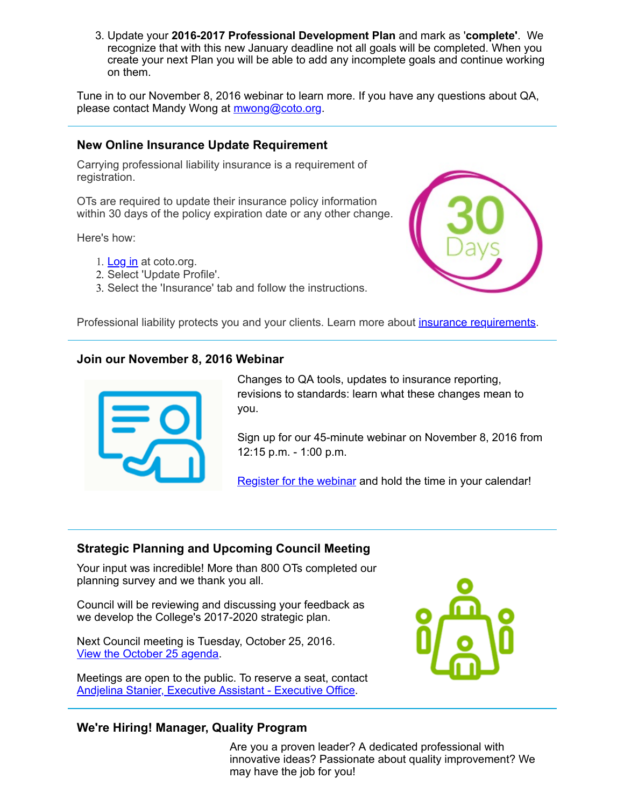3. Update your 2016-2017 Professional Development Plan and mark as 'complete'. We recognize that with this new January deadline not all goals will be completed. When you create your next Plan you will be able to add any incomplete goals and continue working on them.

Tune in to our November 8, 2016 webinar to learn more. If you have any questions about QA, please contact Mandy Wong at [mwong@coto.org.](mailto:mwong@coto.org)

### New Online Insurance Update Requirement

Carrying professional liability insurance is a requirement of registration.

OTs are required to update their insurance policy information within 30 days of the policy expiration date or any other change.

Here's how:

- 1. [Log in](https://payments.coto.org/COTO/Custom/Sign_In.aspx?WebsiteKey=9d2d481c-afe6-4eed-bf06-b12af5b06757&LoginRedirect=true&returnurl=%2fcoto%2fCOTOWEB%2fHome%2fcotoweb%2fHome.aspx) at coto.org.
- 2. Select 'Update Profile'.
- 3. Select the 'Insurance' tab and follow the instructions.



Professional liability protects you and your clients. Learn more about *insurance requirements*.

#### Join our November 8, 2016 Webinar



Changes to QA tools, updates to insurance reporting, revisions to standards: learn what these changes mean to you.

Sign up for our 45-minute webinar on November 8, 2016 from 12:15 p.m. - 1:00 p.m.

[Register for the webinar](http://bit.ly/2dqxYZn) and hold the time in your calendar!

## Strategic Planning and Upcoming Council Meeting

Your input was incredible! More than 800 OTs completed our planning survey and we thank you all.

Council will be reviewing and discussing your feedback as we develop the College's 2017-2020 strategic plan.

Next Council meeting is Tuesday, October 25, 2016. [View the October 25 agenda.](https://www.coto.org/docs/default-source/council-meeting-materials/october-25-2016-college-council-agenda.pdf?sfvrsn=4)

Meetings are open to the public. To reserve a seat, contact [Andjelina Stanier, Executive Assistant - Executive Office](mailto:astanier@coto.org).



#### We're Hiring! Manager, Quality Program

Are you a proven leader? A dedicated professional with innovative ideas? Passionate about quality improvement? We may have the job for you!